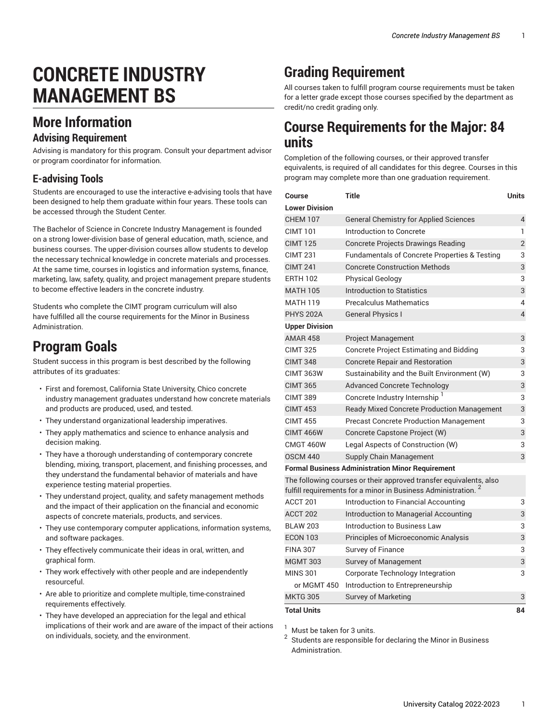# **CONCRETE INDUSTRY MANAGEMENT BS**

## **More Information**

#### **Advising Requirement**

Advising is mandatory for this program. Consult your department advisor or program coordinator for information.

#### **E-advising Tools**

Students are encouraged to use the interactive e-advising tools that have been designed to help them graduate within four years. These tools can be accessed through the Student Center.

The Bachelor of Science in Concrete Industry Management is founded on a strong lower-division base of general education, math, science, and business courses. The upper-division courses allow students to develop the necessary technical knowledge in concrete materials and processes. At the same time, courses in logistics and information systems, finance, marketing, law, safety, quality, and project management prepare students to become effective leaders in the concrete industry.

Students who complete the CIMT program curriculum will also have fulfilled all the course requirements for the Minor in Business Administration.

### **Program Goals**

Student success in this program is best described by the following attributes of its graduates:

- First and foremost, California State University, Chico concrete industry management graduates understand how concrete materials and products are produced, used, and tested.
- They understand organizational leadership imperatives.
- They apply mathematics and science to enhance analysis and decision making.
- They have a thorough understanding of contemporary concrete blending, mixing, transport, placement, and finishing processes, and they understand the fundamental behavior of materials and have experience testing material properties.
- They understand project, quality, and safety management methods and the impact of their application on the financial and economic aspects of concrete materials, products, and services.
- They use contemporary computer applications, information systems, and software packages.
- They effectively communicate their ideas in oral, written, and graphical form.
- They work effectively with other people and are independently resourceful.
- Are able to prioritize and complete multiple, time-constrained requirements effectively.
- They have developed an appreciation for the legal and ethical implications of their work and are aware of the impact of their actions on individuals, society, and the environment.

# **Grading Requirement**

All courses taken to fulfill program course requirements must be taken for a letter grade except those courses specified by the department as credit/no credit grading only.

### **Course Requirements for the Major: 84 units**

Completion of the following courses, or their approved transfer equivalents, is required of all candidates for this degree. Courses in this program may complete more than one graduation requirement.

| Course                | Title                                                                                                                                           | Units          |
|-----------------------|-------------------------------------------------------------------------------------------------------------------------------------------------|----------------|
| <b>Lower Division</b> |                                                                                                                                                 |                |
| <b>CHEM 107</b>       | <b>General Chemistry for Applied Sciences</b>                                                                                                   | 4              |
| <b>CIMT 101</b>       | Introduction to Concrete                                                                                                                        | 1              |
| <b>CIMT 125</b>       | Concrete Projects Drawings Reading                                                                                                              | $\overline{2}$ |
| <b>CIMT 231</b>       | <b>Fundamentals of Concrete Properties &amp; Testing</b>                                                                                        | 3              |
| <b>CIMT 241</b>       | <b>Concrete Construction Methods</b>                                                                                                            | 3              |
| <b>ERTH 102</b>       | <b>Physical Geology</b>                                                                                                                         | 3              |
| <b>MATH 105</b>       | Introduction to Statistics                                                                                                                      | 3              |
| MATH 119              | <b>Precalculus Mathematics</b>                                                                                                                  | 4              |
| <b>PHYS 202A</b>      | <b>General Physics I</b>                                                                                                                        | 4              |
| <b>Upper Division</b> |                                                                                                                                                 |                |
| <b>AMAR 458</b>       | <b>Project Management</b>                                                                                                                       | 3              |
| <b>CIMT 325</b>       | <b>Concrete Project Estimating and Bidding</b>                                                                                                  | 3              |
| <b>CIMT 348</b>       | <b>Concrete Repair and Restoration</b>                                                                                                          | 3              |
| <b>CIMT 363W</b>      | Sustainability and the Built Environment (W)                                                                                                    | 3              |
| <b>CIMT 365</b>       | <b>Advanced Concrete Technology</b>                                                                                                             | 3              |
| <b>CIMT 389</b>       | Concrete Industry Internship <sup>1</sup>                                                                                                       | 3              |
| <b>CIMT 453</b>       | <b>Ready Mixed Concrete Production Management</b>                                                                                               | 3              |
| <b>CIMT 455</b>       | <b>Precast Concrete Production Management</b>                                                                                                   | 3              |
| <b>CIMT 466W</b>      | Concrete Capstone Project (W)                                                                                                                   | 3              |
| CMGT 460W             | Legal Aspects of Construction (W)                                                                                                               | 3              |
| <b>OSCM 440</b>       | Supply Chain Management                                                                                                                         | 3              |
|                       | <b>Formal Business Administration Minor Requirement</b>                                                                                         |                |
|                       | The following courses or their approved transfer equivalents, also<br>fulfill requirements for a minor in Business Administration. <sup>2</sup> |                |
| ACCT 201              | Introduction to Financial Accounting                                                                                                            | 3              |
| ACCT 202              | Introduction to Managerial Accounting                                                                                                           | 3              |
| <b>BLAW 203</b>       | Introduction to Business Law                                                                                                                    | 3              |
| <b>ECON 103</b>       | Principles of Microeconomic Analysis                                                                                                            | 3              |
| <b>FINA 307</b>       | Survey of Finance                                                                                                                               | 3              |
| <b>MGMT 303</b>       | <b>Survey of Management</b>                                                                                                                     | 3              |
| <b>MINS 301</b>       | Corporate Technology Integration                                                                                                                | 3              |
| or MGMT 450           | Introduction to Entrepreneurship                                                                                                                |                |
| <b>MKTG 305</b>       | Survey of Marketing                                                                                                                             | 3              |
| Total Units           |                                                                                                                                                 | 84             |

Must be taken for 3 units.

2 Students are responsible for declaring the Minor in Business Administration.